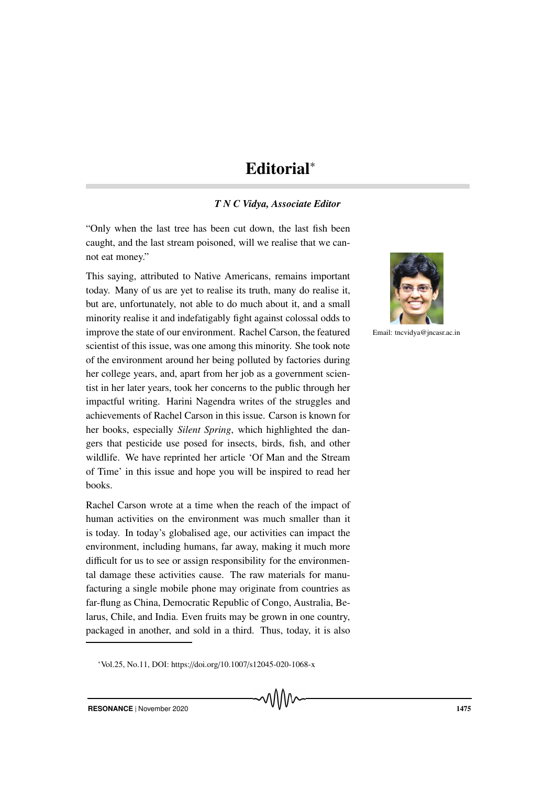## Editorial<sup>∗</sup>

## *T N C Vidya, Associate Editor*

"Only when the last tree has been cut down, the last fish been caught, and the last stream poisoned, will we realise that we cannot eat money."

This saying, attributed to Native Americans, remains important today. Many of us are yet to realise its truth, many do realise it, but are, unfortunately, not able to do much about it, and a small minority realise it and indefatigably fight against colossal odds to improve the state of our environment. Rachel Carson, the featured scientist of this issue, was one among this minority. She took note of the environment around her being polluted by factories during her college years, and, apart from her job as a government scientist in her later years, took her concerns to the public through her impactful writing. Harini Nagendra writes of the struggles and achievements of Rachel Carson in this issue. Carson is known for her books, especially *Silent Spring*, which highlighted the dangers that pesticide use posed for insects, birds, fish, and other wildlife. We have reprinted her article 'Of Man and the Stream of Time' in this issue and hope you will be inspired to read her books.

Rachel Carson wrote at a time when the reach of the impact of human activities on the environment was much smaller than it is today. In today's globalised age, our activities can impact the environment, including humans, far away, making it much more difficult for us to see or assign responsibility for the environmental damage these activities cause. The raw materials for manufacturing a single mobile phone may originate from countries as far-flung as China, Democratic Republic of Congo, Australia, Belarus, Chile, and India. Even fruits may be grown in one country, packaged in another, and sold in a third. Thus, today, it is also



Email: tncvidya@jncasr.ac.in

<sup>∗</sup>Vol.25, No.11, DOI: https://doi.org/10.1007/s12045-020-1068-x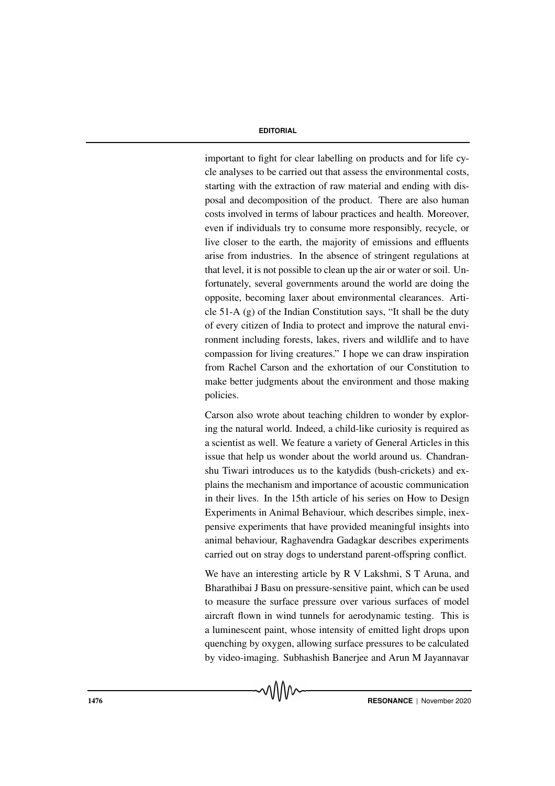## **EDITORIAL**

important to fight for clear labelling on products and for life cycle analyses to be carried out that assess the environmental costs, starting with the extraction of raw material and ending with disposal and decomposition of the product. There are also human costs involved in terms of labour practices and health. Moreover, even if individuals try to consume more responsibly, recycle, or live closer to the earth, the majority of emissions and effluents arise from industries. In the absence of stringent regulations at that level, it is not possible to clean up the air or water or soil. Unfortunately, several governments around the world are doing the opposite, becoming laxer about environmental clearances. Article 51-A (g) of the Indian Constitution says, "It shall be the duty of every citizen of India to protect and improve the natural environment including forests, lakes, rivers and wildlife and to have compassion for living creatures." I hope we can draw inspiration from Rachel Carson and the exhortation of our Constitution to make better judgments about the environment and those making policies.

Carson also wrote about teaching children to wonder by exploring the natural world. Indeed, a child-like curiosity is required as a scientist as well. We feature a variety of General Articles in this issue that help us wonder about the world around us. Chandranshu Tiwari introduces us to the katydids (bush-crickets) and explains the mechanism and importance of acoustic communication in their lives. In the 15th article of his series on How to Design Experiments in Animal Behaviour, which describes simple, inexpensive experiments that have provided meaningful insights into animal behaviour, Raghavendra Gadagkar describes experiments carried out on stray dogs to understand parent-offspring conflict.

We have an interesting article by R V Lakshmi, S T Aruna, and Bharathibai J Basu on pressure-sensitive paint, which can be used to measure the surface pressure over various surfaces of model aircraft flown in wind tunnels for aerodynamic testing. This is a luminescent paint, whose intensity of emitted light drops upon quenching by oxygen, allowing surface pressures to be calculated by video-imaging. Subhashish Banerjee and Arun M Jayannavar